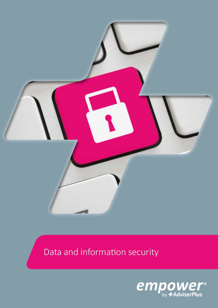

# Data and information security